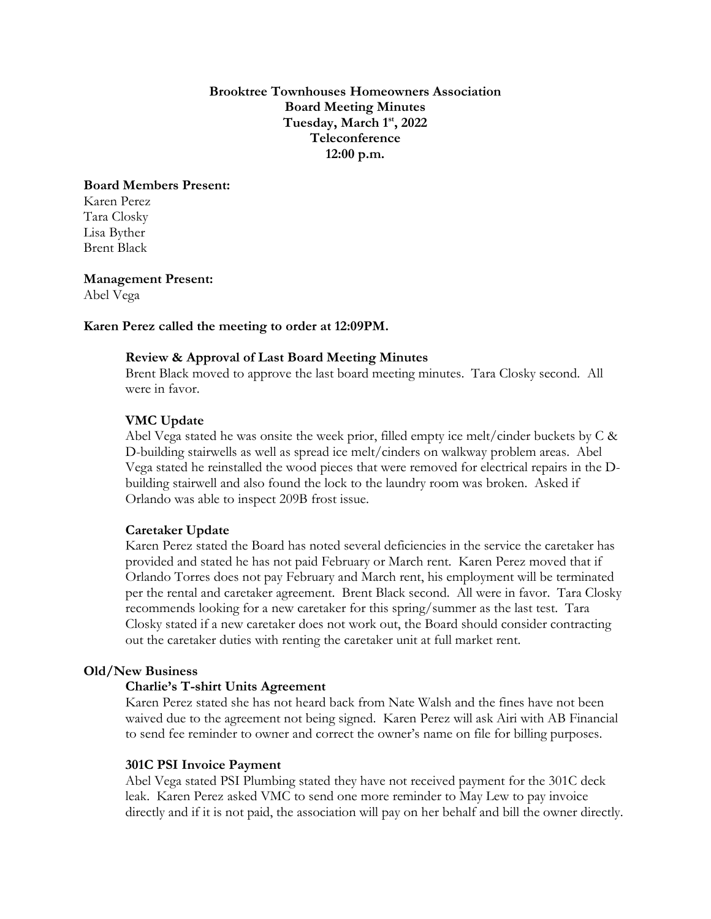**Brooktree Townhouses Homeowners Association Board Meeting Minutes Tuesday, March 1 st, 2022 Teleconference 12:00 p.m.**

# **Board Members Present:**

Karen Perez Tara Closky Lisa Byther Brent Black

**Management Present:**

Abel Vega

# **Karen Perez called the meeting to order at 12:09PM.**

## **Review & Approval of Last Board Meeting Minutes**

Brent Black moved to approve the last board meeting minutes. Tara Closky second. All were in favor.

# **VMC Update**

Abel Vega stated he was onsite the week prior, filled empty ice melt/cinder buckets by C & D-building stairwells as well as spread ice melt/cinders on walkway problem areas. Abel Vega stated he reinstalled the wood pieces that were removed for electrical repairs in the Dbuilding stairwell and also found the lock to the laundry room was broken. Asked if Orlando was able to inspect 209B frost issue.

#### **Caretaker Update**

Karen Perez stated the Board has noted several deficiencies in the service the caretaker has provided and stated he has not paid February or March rent. Karen Perez moved that if Orlando Torres does not pay February and March rent, his employment will be terminated per the rental and caretaker agreement. Brent Black second. All were in favor. Tara Closky recommends looking for a new caretaker for this spring/summer as the last test. Tara Closky stated if a new caretaker does not work out, the Board should consider contracting out the caretaker duties with renting the caretaker unit at full market rent.

#### **Old/New Business**

#### **Charlie's T-shirt Units Agreement**

Karen Perez stated she has not heard back from Nate Walsh and the fines have not been waived due to the agreement not being signed. Karen Perez will ask Airi with AB Financial to send fee reminder to owner and correct the owner's name on file for billing purposes.

#### **301C PSI Invoice Payment**

Abel Vega stated PSI Plumbing stated they have not received payment for the 301C deck leak. Karen Perez asked VMC to send one more reminder to May Lew to pay invoice directly and if it is not paid, the association will pay on her behalf and bill the owner directly.